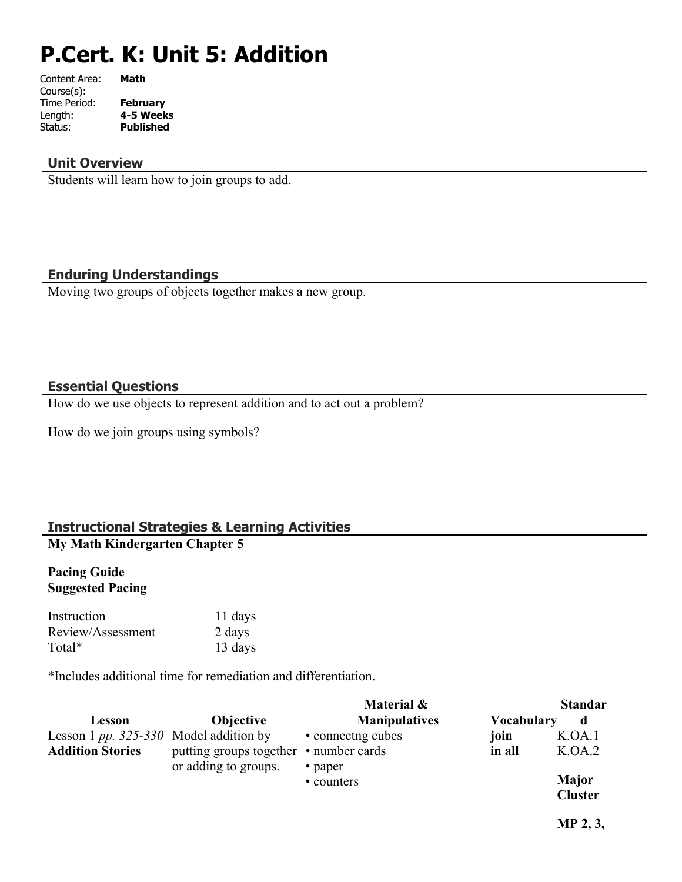# **P.Cert. K: Unit 5: Addition**

| Content Area: | Math             |
|---------------|------------------|
| Course(s):    |                  |
| Time Period:  | <b>February</b>  |
| Length:       | 4-5 Weeks        |
| Status:       | <b>Published</b> |
|               |                  |

#### **Unit Overview**

Students will learn how to join groups to add.

#### **Enduring Understandings**

Moving two groups of objects together makes a new group.

#### **Essential Questions**

How do we use objects to represent addition and to act out a problem?

How do we join groups using symbols?

# **Instructional Strategies & Learning Activities**

# **My Math Kindergarten Chapter 5**

#### **Pacing Guide Suggested Pacing**

Instruction 11 days Review/Assessment 2 days Total\* 13 days

\*Includes additional time for remediation and differentiation.

|                                                                     |                                                                | Material &                    |                   | <b>Standar</b>                 |
|---------------------------------------------------------------------|----------------------------------------------------------------|-------------------------------|-------------------|--------------------------------|
| Lesson                                                              | <b>Objective</b>                                               | <b>Manipulatives</b>          | <b>Vocabulary</b> | d                              |
| Lesson 1 $pp. 325-330$ Model addition by<br><b>Addition Stories</b> | putting groups together • number cards<br>or adding to groups. | • connecting cubes<br>• paper | join<br>in all    | K.OA.1<br>K.OA.2               |
|                                                                     |                                                                | • counters                    |                   | <b>Major</b><br><b>Cluster</b> |

**MP 2, 3,**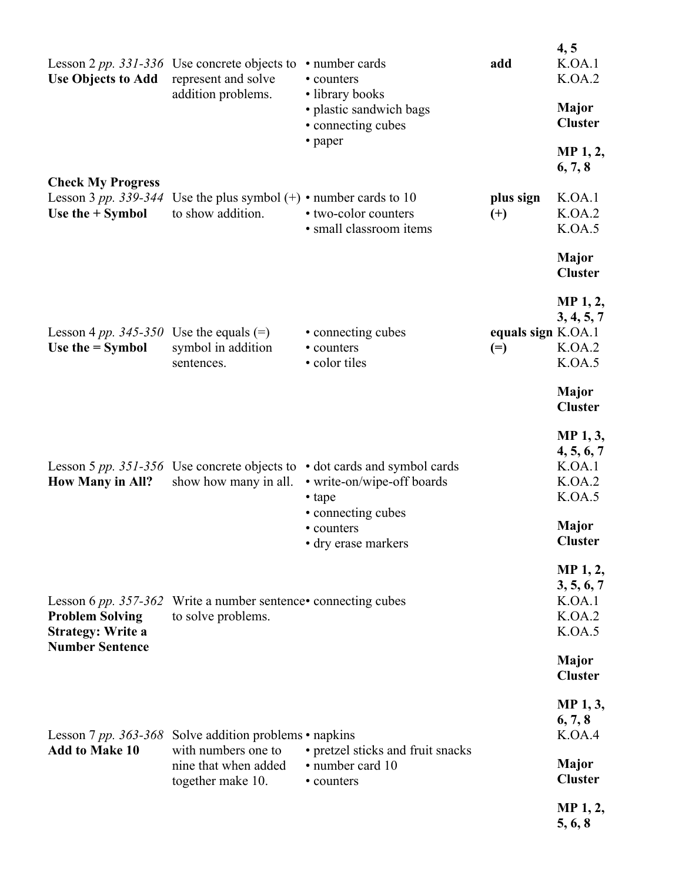| <b>Use Objects to Add</b>                                                      | Lesson 2 pp. 331-336 Use concrete objects to<br>represent and solve<br>addition problems. | • number cards<br>• counters<br>• library books<br>• plastic sandwich bags<br>• connecting cubes<br>• paper | add                         | 4, 5<br>K.OA.1<br>K.OA.2<br><b>Major</b><br><b>Cluster</b>           |
|--------------------------------------------------------------------------------|-------------------------------------------------------------------------------------------|-------------------------------------------------------------------------------------------------------------|-----------------------------|----------------------------------------------------------------------|
| <b>Check My Progress</b>                                                       |                                                                                           |                                                                                                             |                             | MP <sub>1</sub> , 2,<br>6, 7, 8                                      |
| Lesson 3 pp. 339-344<br>Use the $+$ Symbol                                     | Use the plus symbol $(+)$ • number cards to 10<br>to show addition.                       | • two-color counters<br>· small classroom items                                                             | plus sign<br>$(+)$          | K.OA.1<br>K.OA.2<br>K.OA.5                                           |
|                                                                                |                                                                                           |                                                                                                             |                             | Major<br><b>Cluster</b>                                              |
| Lesson 4 pp. $345 - 350$<br>Use the $=$ Symbol                                 | Use the equals $(=)$<br>symbol in addition<br>sentences.                                  | • connecting cubes<br>• counters<br>• color tiles                                                           | equals sign K.OA.1<br>$(=)$ | MP <sub>1</sub> , 2,<br>3, 4, 5, 7<br>K.OA.2<br>K.OA.5               |
|                                                                                |                                                                                           |                                                                                                             |                             | <b>Major</b><br><b>Cluster</b>                                       |
| <b>How Many in All?</b>                                                        | Lesson 5 pp. 351-356 Use concrete objects to<br>show how many in all.                     | • dot cards and symbol cards<br>• write-on/wipe-off boards<br>• tape<br>• connecting cubes<br>• counters    |                             | MP 1, 3,<br>4, 5, 6, 7<br>K.OA.1<br>K.OA.2<br>K.OA.5<br><b>Major</b> |
|                                                                                |                                                                                           | · dry erase markers                                                                                         |                             | <b>Cluster</b><br>MP 1, 2,                                           |
| Lesson 6 pp. $357 - 362$<br><b>Problem Solving</b><br><b>Strategy: Write a</b> | Write a number sentence• connecting cubes<br>to solve problems.                           |                                                                                                             |                             | 3, 5, 6, 7<br>K.OA.1<br>K.OA.2<br>K.OA.5                             |
| <b>Number Sentence</b>                                                         |                                                                                           |                                                                                                             |                             | <b>Major</b><br><b>Cluster</b>                                       |
| <b>Add to Make 10</b>                                                          | Lesson 7 pp. 363-368 Solve addition problems $\cdot$ napkins<br>with numbers one to       | • pretzel sticks and fruit snacks                                                                           |                             | MP 1, 3,<br>6, 7, 8<br>K.OA.4                                        |
|                                                                                | nine that when added<br>together make 10.                                                 | · number card 10<br>• counters                                                                              |                             | Major<br><b>Cluster</b>                                              |
|                                                                                |                                                                                           |                                                                                                             |                             | MP <sub>1</sub> , 2,<br>5, 6, 8                                      |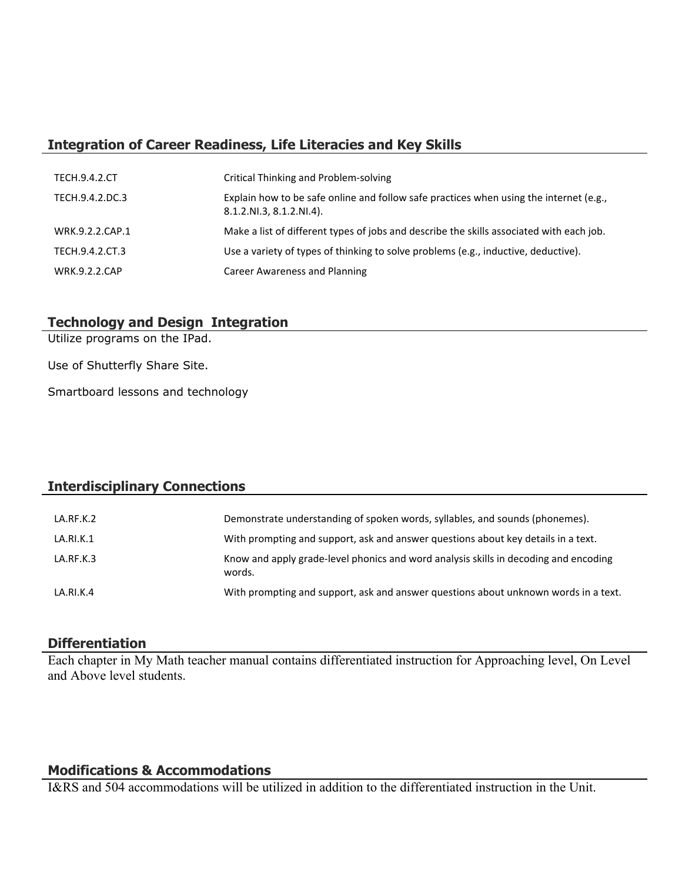# **Integration of Career Readiness, Life Literacies and Key Skills**

| <b>TECH.9.4.2.CT</b> | Critical Thinking and Problem-solving                                                                              |
|----------------------|--------------------------------------------------------------------------------------------------------------------|
| TECH.9.4.2.DC.3      | Explain how to be safe online and follow safe practices when using the internet (e.g.,<br>8.1.2.NI.3, 8.1.2.NI.4). |
| WRK.9.2.2.CAP.1      | Make a list of different types of jobs and describe the skills associated with each job.                           |
| TECH.9.4.2.CT.3      | Use a variety of types of thinking to solve problems (e.g., inductive, deductive).                                 |
| <b>WRK.9.2.2.CAP</b> | Career Awareness and Planning                                                                                      |

# **Technology and Design Integration**

Utilize programs on the IPad.

Use of Shutterfly Share Site.

Smartboard lessons and technology

## **Interdisciplinary Connections**

| LA.RF.K.2 | Demonstrate understanding of spoken words, syllables, and sounds (phonemes).                   |
|-----------|------------------------------------------------------------------------------------------------|
| LA.RI.K.1 | With prompting and support, ask and answer questions about key details in a text.              |
| LA.RF.K.3 | Know and apply grade-level phonics and word analysis skills in decoding and encoding<br>words. |
| LA.RI.K.4 | With prompting and support, ask and answer questions about unknown words in a text.            |

#### **Differentiation**

Each chapter in My Math teacher manual contains differentiated instruction for Approaching level, On Level and Above level students.

# **Modifications & Accommodations**

I&RS and 504 accommodations will be utilized in addition to the differentiated instruction in the Unit.